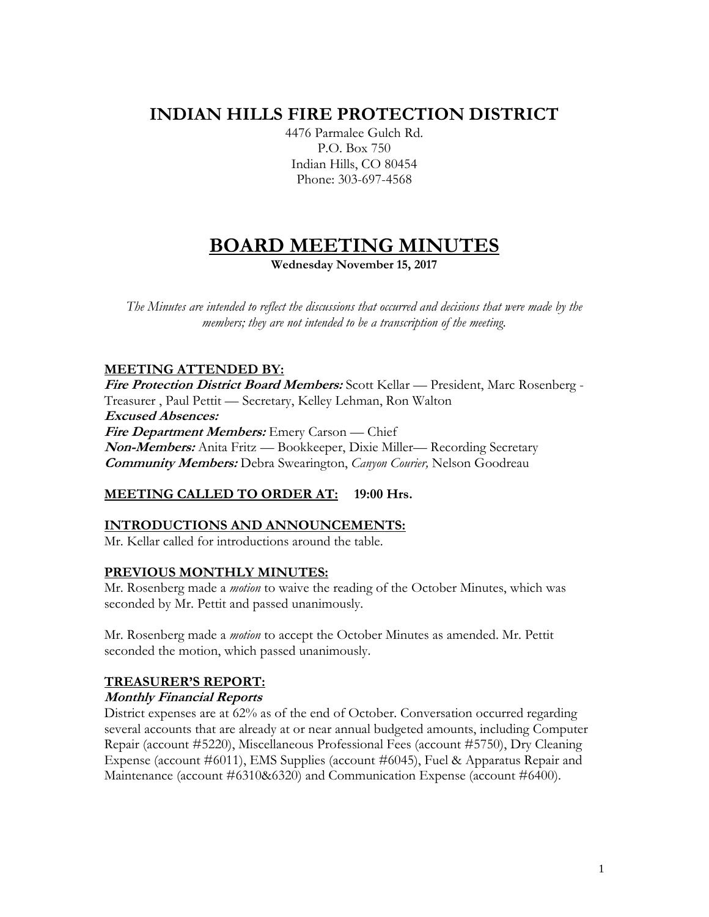## **INDIAN HILLS FIRE PROTECTION DISTRICT**

4476 Parmalee Gulch Rd. P.O. Box 750 Indian Hills, CO 80454 Phone: 303-697-4568

# **BOARD MEETING MINUTES**

**Wednesday November 15, 2017**

*The Minutes are intended to reflect the discussions that occurred and decisions that were made by the members; they are not intended to be a transcription of the meeting.*

## **MEETING ATTENDED BY:**

**Fire Protection District Board Members:** Scott Kellar — President, Marc Rosenberg - Treasurer , Paul Pettit — Secretary, Kelley Lehman, Ron Walton **Excused Absences: Fire Department Members:** Emery Carson — Chief **Non-Members:** Anita Fritz — Bookkeeper, Dixie Miller— Recording Secretary **Community Members:** Debra Swearington, *Canyon Courier,* Nelson Goodreau

## **MEETING CALLED TO ORDER AT: 19:00 Hrs.**

#### **INTRODUCTIONS AND ANNOUNCEMENTS:**

Mr. Kellar called for introductions around the table.

#### **PREVIOUS MONTHLY MINUTES:**

Mr. Rosenberg made a *motion* to waive the reading of the October Minutes, which was seconded by Mr. Pettit and passed unanimously.

Mr. Rosenberg made a *motion* to accept the October Minutes as amended. Mr. Pettit seconded the motion, which passed unanimously.

## **TREASURER'S REPORT:**

#### **Monthly Financial Reports**

District expenses are at 62% as of the end of October. Conversation occurred regarding several accounts that are already at or near annual budgeted amounts, including Computer Repair (account #5220), Miscellaneous Professional Fees (account #5750), Dry Cleaning Expense (account #6011), EMS Supplies (account #6045), Fuel & Apparatus Repair and Maintenance (account #6310&6320) and Communication Expense (account #6400).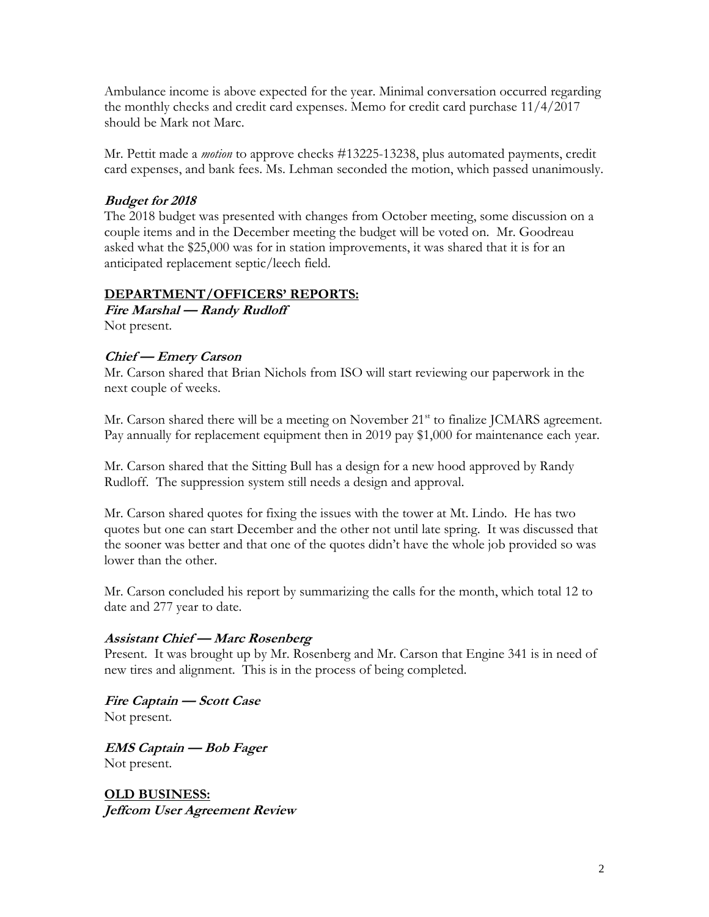Ambulance income is above expected for the year. Minimal conversation occurred regarding the monthly checks and credit card expenses. Memo for credit card purchase 11/4/2017 should be Mark not Marc.

Mr. Pettit made a *motion* to approve checks #13225-13238, plus automated payments, credit card expenses, and bank fees. Ms. Lehman seconded the motion, which passed unanimously.

## **Budget for 2018**

The 2018 budget was presented with changes from October meeting, some discussion on a couple items and in the December meeting the budget will be voted on. Mr. Goodreau asked what the \$25,000 was for in station improvements, it was shared that it is for an anticipated replacement septic/leech field.

#### **DEPARTMENT/OFFICERS' REPORTS:**

**Fire Marshal — Randy Rudloff** Not present.

## **Chief — Emery Carson**

Mr. Carson shared that Brian Nichols from ISO will start reviewing our paperwork in the next couple of weeks.

Mr. Carson shared there will be a meeting on November 21<sup>st</sup> to finalize JCMARS agreement. Pay annually for replacement equipment then in 2019 pay \$1,000 for maintenance each year.

Mr. Carson shared that the Sitting Bull has a design for a new hood approved by Randy Rudloff. The suppression system still needs a design and approval.

Mr. Carson shared quotes for fixing the issues with the tower at Mt. Lindo. He has two quotes but one can start December and the other not until late spring. It was discussed that the sooner was better and that one of the quotes didn't have the whole job provided so was lower than the other.

Mr. Carson concluded his report by summarizing the calls for the month, which total 12 to date and 277 year to date.

#### **Assistant Chief — Marc Rosenberg**

Present. It was brought up by Mr. Rosenberg and Mr. Carson that Engine 341 is in need of new tires and alignment. This is in the process of being completed.

**Fire Captain — Scott Case** Not present.

**EMS Captain — Bob Fager** Not present.

**OLD BUSINESS: Jeffcom User Agreement Review**